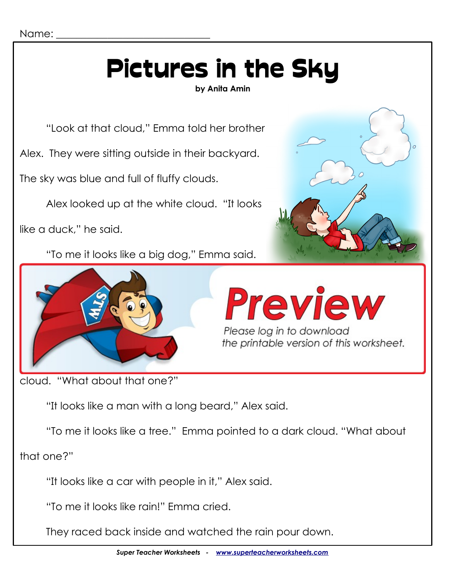# Pictures in the Sky

**by Anita Amin**

"Look at that cloud," Emma told her brother

Alex. They were sitting outside in their backyard.

The sky was blue and full of fluffy clouds.

Alex looked up at the white cloud. "It looks

like a duck," he said.

"To me it looks like a big dog," Emma said.







cloud. "What about that one?"

"It looks like a man with a long beard," Alex said.

"To me it looks like a tree." Emma pointed to a dark cloud. "What about

that one?"

"It looks like a car with people in it," Alex said.

"To me it looks like rain!" Emma cried.

They raced back inside and watched the rain pour down.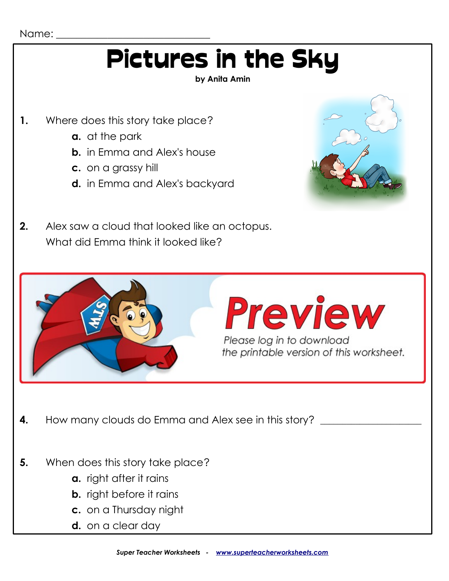## Pictures in the Sky

#### **by Anita Amin**

- **1.** Where does this story take place?
	- **a.** at the park
	- **b.** in Emma and Alex's house
	- **c.** on a grassy hill
	- **d.** in Emma and Alex's backyard



**2.** Alex saw a cloud that looked like an octopus. What did Emma think it looked like?



- **c.** on a Thursday night
- **d.** on a clear day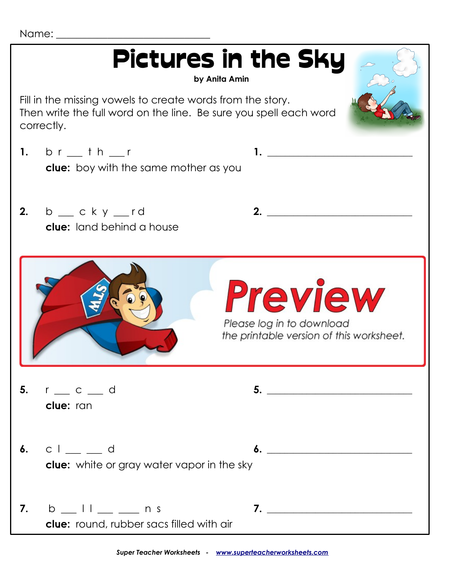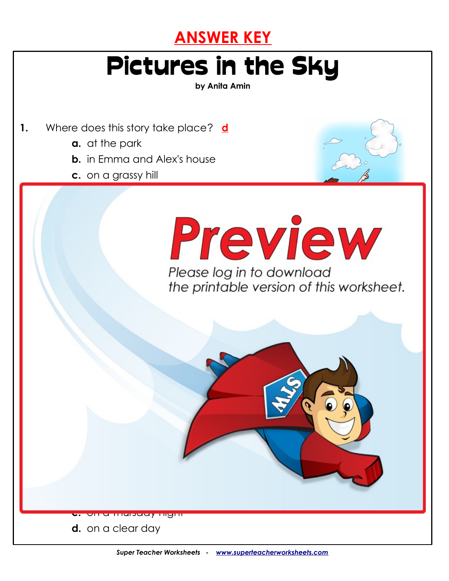

### Pictures in the Sky

**by Anita Amin**

- **1.** Where does this story take place? **d**
	- **a.** at the park
	- **b.** in Emma and Alex's house

**2.** Alex saw a cloud that looked like an octopus.

**3.** Which cloud was probably dark gray?

**c.** on a grassy hill



What did Emma think it looked like the state of the state of the state of the state of the state of the state o **a bunch of balloons**

**c.** on a Thursday night

**5.** When does this story take place? **b**

**d.** on a clear day

**b.** The cloud that looked like a man with a beard.

**4.** How many clouds do Emma and Alex see in this story? **four**

**c.** The contract of the contract of the contract of the contract of the contract of the contract of the contract of the contract of the contract of the contract of the contract of the contract of the contract of the contr

d. The cloud that looked like a car. The cloud that looked like a car. The car. The car. The car. The car. The c